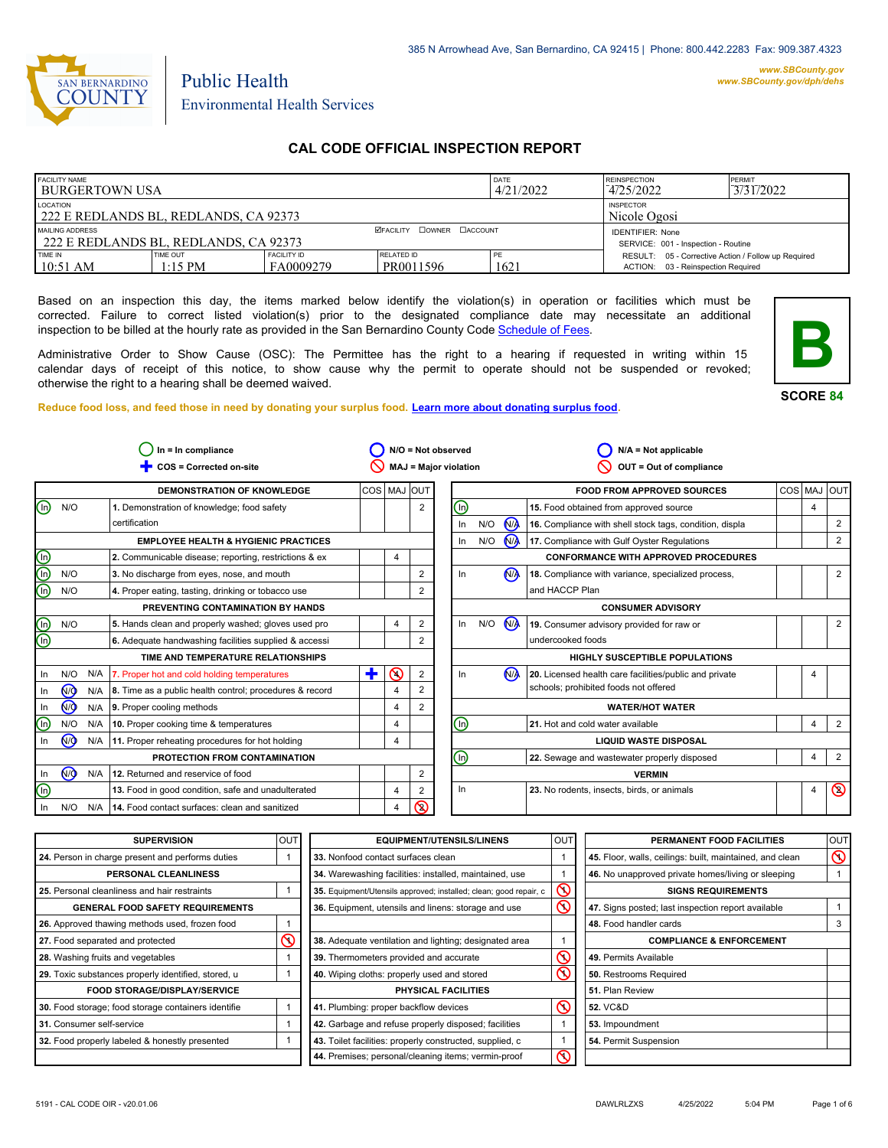

#### *www.SBCounty.gov [www.SBCounty.gov/dph/dehs](http://www.sbcounty.gov/dph/ehsportal)*

Environmental Health Services

Public Health

# **CAL CODE OFFICIAL INSPECTION REPORT**

| <b>FACILITY NAME</b><br><b>I BURGERTOWN USA</b>          |                       |                                                                | DATE<br>4/21/2022       | <b>REINSPECTION</b><br>4/25/2022 | PERMIT<br>3/31/2022                                                                       |  |
|----------------------------------------------------------|-----------------------|----------------------------------------------------------------|-------------------------|----------------------------------|-------------------------------------------------------------------------------------------|--|
| LOCATION<br>222 E REDLANDS BL, REDLANDS, CA 92373        |                       | <b>INSPECTOR</b><br>Nicole Ogosi                               |                         |                                  |                                                                                           |  |
| MAILING ADDRESS<br>222 E REDLANDS BL, REDLANDS, CA 92373 |                       | <b>IDENTIFIER: None</b><br>SERVICE: 001 - Inspection - Routine |                         |                                  |                                                                                           |  |
| <b>TIME IN</b><br>$10:51$ AM                             | TIME OUT<br>$1:15$ PM | <b>FACILITY ID</b><br>FA0009279                                | RELATED ID<br>PR0011596 | 1621                             | RESULT: 05 - Corrective Action / Follow up Required<br>ACTION: 03 - Reinspection Required |  |

Based on an inspection this day, the items marked below identify the violation(s) in operation or facilities which must be corrected. Failure to correct listed violation(s) prior to the designated compliance date may necessitate an additional inspection to be billed at the hourly rate as provided in the San Bernardino County Co[de Schedule of Fees.](https://codelibrary.amlegal.com/codes/sanbernardino/latest/sanberncty_ca/0-0-0-122474#JD_16.0213B)

Administrative Order to Show Cause (OSC): The Permittee has the right to a hearing if requested in writing within 15 calendar days of receipt of this notice, to show cause why the permit to operate should not be suspended or revoked; otherwise the right to a hearing shall be deemed waived.

**SCORE 84**

**B**

**Reduce food loss, and feed those in need by donating your surplus f[ood. Learn more about donating surplus food.](https://wp.sbcounty.gov/dph/programs/ehs/charitable-food-service/)**

|                         |                |     | $In = In$ compliance                                    |   |                |                         | N/O = Not observed           |     |                | $N/A = Not applicable$                                  |   |                |
|-------------------------|----------------|-----|---------------------------------------------------------|---|----------------|-------------------------|------------------------------|-----|----------------|---------------------------------------------------------|---|----------------|
|                         |                |     | COS = Corrected on-site                                 |   |                |                         | <b>MAJ = Major violation</b> |     |                | OUT = Out of compliance                                 |   |                |
|                         |                |     | <b>DEMONSTRATION OF KNOWLEDGE</b>                       |   | COS   MAJ OUT  |                         |                              |     |                | <b>FOOD FROM APPROVED SOURCES</b>                       |   | COS MAJ OUT    |
| ⊚                       | N/O            |     | 1. Demonstration of knowledge; food safety              |   |                | $\overline{\mathbf{c}}$ | (in)                         |     |                | 15. Food obtained from approved source                  | 4 |                |
|                         |                |     | certification                                           |   |                |                         | In                           | N/O | N <sub>/</sub> | 16. Compliance with shell stock tags, condition, displa |   | 2              |
|                         |                |     | <b>EMPLOYEE HEALTH &amp; HYGIENIC PRACTICES</b>         |   |                |                         | In.                          | N/O | N              | 17. Compliance with Gulf Oyster Regulations             |   | $\overline{2}$ |
| $\overline{\mathbb{O}}$ |                |     | 2. Communicable disease; reporting, restrictions & ex   |   | 4              |                         |                              |     |                | <b>CONFORMANCE WITH APPROVED PROCEDURES</b>             |   |                |
| o<br>O                  | N/O            |     | 3. No discharge from eyes, nose, and mouth              |   |                | 2                       | In                           |     | N <sub>A</sub> | 18. Compliance with variance, specialized process,      |   | $\overline{2}$ |
|                         | N/O            |     | 4. Proper eating, tasting, drinking or tobacco use      |   |                | 2                       |                              |     |                | and HACCP Plan                                          |   |                |
|                         |                |     | PREVENTING CONTAMINATION BY HANDS                       |   |                |                         |                              |     |                | <b>CONSUMER ADVISORY</b>                                |   |                |
| ⋒                       | N/O            |     | 5. Hands clean and properly washed; gloves used pro     |   | $\overline{4}$ | $\overline{c}$          | ln                           | N/O | M              | 19. Consumer advisory provided for raw or               |   | $\overline{2}$ |
| ⋒                       |                |     | 6. Adequate handwashing facilities supplied & accessi   |   |                | 2                       |                              |     |                | undercooked foods                                       |   |                |
|                         |                |     | TIME AND TEMPERATURE RELATIONSHIPS                      |   |                |                         |                              |     |                | <b>HIGHLY SUSCEPTIBLE POPULATIONS</b>                   |   |                |
| In                      | N/O            | N/A | 7. Proper hot and cold holding temperatures             | ٠ | $\Omega$       | $\overline{2}$          | In                           |     | N <sub>A</sub> | 20. Licensed health care facilities/public and private  | 4 |                |
| In                      | N <sub>O</sub> | N/A | 8. Time as a public health control; procedures & record |   | 4              | 2                       |                              |     |                | schools; prohibited foods not offered                   |   |                |
| In                      | N <sub>O</sub> | N/A | 9. Proper cooling methods                               |   | 4              | 2                       |                              |     |                | <b>WATER/HOT WATER</b>                                  |   |                |
| ⊕                       | N/O            | N/A | 10. Proper cooking time & temperatures                  |   | 4              |                         | ⋒                            |     |                | 21. Hot and cold water available                        | 4 | 2              |
| In                      | N <sub>O</sub> | N/A | 11. Proper reheating procedures for hot holding         |   | 4              |                         | <b>LIQUID WASTE DISPOSAL</b> |     |                |                                                         |   |                |
|                         |                |     | PROTECTION FROM CONTAMINATION                           |   |                |                         | ⋒                            |     |                | 22. Sewage and wastewater properly disposed             | 4 | $\overline{2}$ |
| In.                     | N <sub>O</sub> | N/A | 12. Returned and reservice of food                      |   |                | 2                       |                              |     |                | <b>VERMIN</b>                                           |   |                |
| ⋒                       |                |     | 13. Food in good condition, safe and unadulterated      |   | 4              | $\overline{2}$          | In                           |     |                | 23. No rodents, insects, birds, or animals              | 4 | $\circledcirc$ |
| In                      | N/O            | N/A | 14. Food contact surfaces: clean and sanitized          |   | 4              | $\circledcirc$          |                              |     |                |                                                         |   |                |

| <b>SUPERVISION</b>                                  | <b>OUT</b> | <b>EQUIPMENT/UTENSILS/LINENS</b>                                  | <b>OUT</b>        | PERMANENT FOOD FACILITIES                                | <b>OUT</b>     |
|-----------------------------------------------------|------------|-------------------------------------------------------------------|-------------------|----------------------------------------------------------|----------------|
| 24. Person in charge present and performs duties    |            | 33. Nonfood contact surfaces clean                                |                   | 45. Floor, walls, ceilings: built, maintained, and clean | $\circledcirc$ |
| PERSONAL CLEANLINESS                                |            | 34. Warewashing facilities: installed, maintained, use            |                   | 46. No unapproved private homes/living or sleeping       |                |
| 25. Personal cleanliness and hair restraints        |            | 35. Equipment/Utensils approved; installed; clean; good repair, c | $\mathsf{\Omega}$ | <b>SIGNS REQUIREMENTS</b>                                |                |
| <b>GENERAL FOOD SAFETY REQUIREMENTS</b>             |            | 36. Equipment, utensils and linens: storage and use               | $\infty$          | 47. Signs posted; last inspection report available       |                |
| 26. Approved thawing methods used, frozen food      |            |                                                                   |                   | 48. Food handler cards                                   |                |
| 27. Food separated and protected                    |            | 38. Adequate ventilation and lighting; designated area            |                   | <b>COMPLIANCE &amp; ENFORCEMENT</b>                      |                |
| 28. Washing fruits and vegetables                   |            | 39. Thermometers provided and accurate                            | $\infty$          | 49. Permits Available                                    |                |
| 29. Toxic substances properly identified, stored, u |            | 40. Wiping cloths: properly used and stored                       | $\infty$          | 50. Restrooms Required                                   |                |
| <b>FOOD STORAGE/DISPLAY/SERVICE</b>                 |            | PHYSICAL FACILITIES                                               |                   | 51. Plan Review                                          |                |
| 30. Food storage; food storage containers identifie |            | 41. Plumbing: proper backflow devices                             | $\infty$          | <b>52. VC&amp;D</b>                                      |                |
| 31. Consumer self-service                           |            | 42. Garbage and refuse properly disposed; facilities              |                   | 53. Impoundment                                          |                |
| 32. Food properly labeled & honestly presented      |            | 43. Toilet facilities: properly constructed, supplied, c          |                   | 54. Permit Suspension                                    |                |
|                                                     |            | 44. Premises; personal/cleaning items; vermin-proof               | $\infty$          |                                                          |                |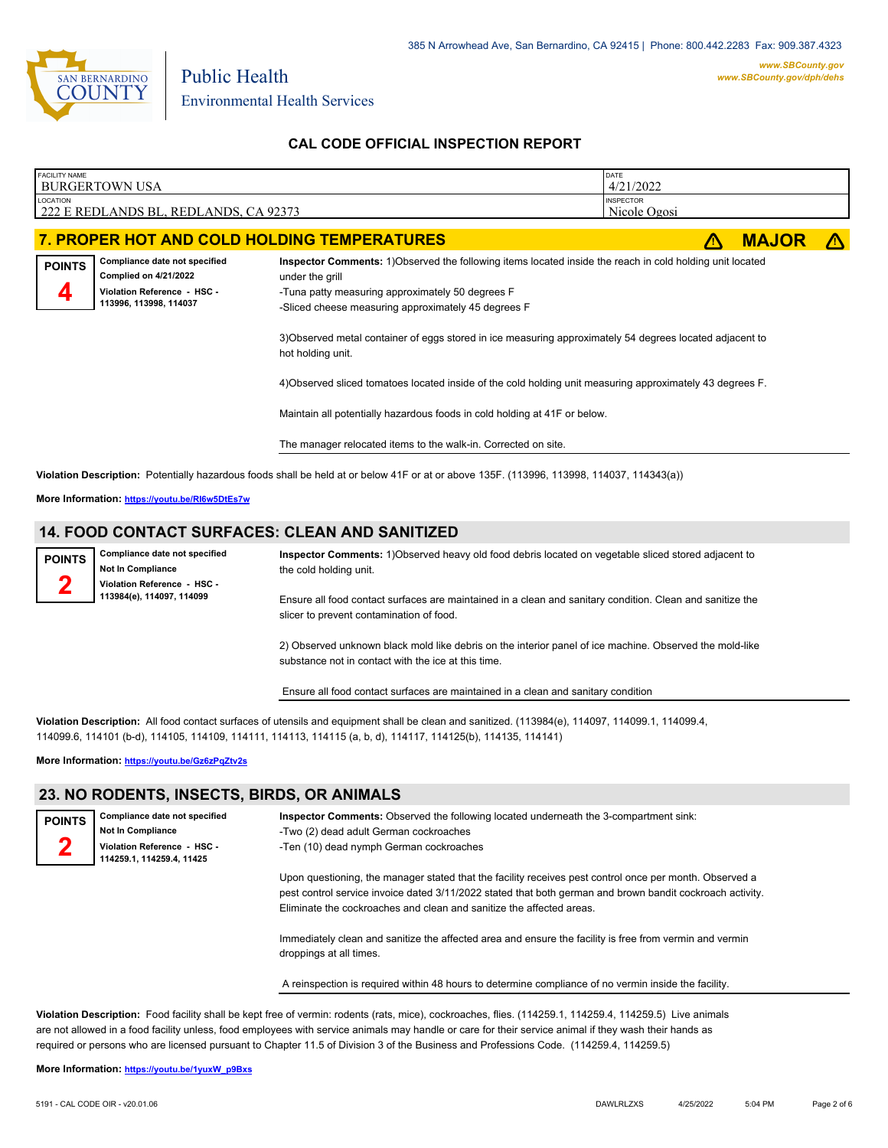

Public Health Environmental Health Services

# **CAL CODE OFFICIAL INSPECTION REPORT**

| <b>FACILITY NAME</b> | <b>BURGERTOWN USA</b>                                                                                                  |                                                                                                                                                                                                                                         | DATE<br>4/21/2022                |              |   |
|----------------------|------------------------------------------------------------------------------------------------------------------------|-----------------------------------------------------------------------------------------------------------------------------------------------------------------------------------------------------------------------------------------|----------------------------------|--------------|---|
| <b>LOCATION</b>      | 222 E REDLANDS BL, REDLANDS, CA 92373                                                                                  |                                                                                                                                                                                                                                         | <b>INSPECTOR</b><br>Nicole Ogosi |              |   |
|                      |                                                                                                                        | 7. PROPER HOT AND COLD HOLDING TEMPERATURES                                                                                                                                                                                             |                                  | <b>MAJOR</b> | m |
| <b>POINTS</b>        | Compliance date not specified<br><b>Complied on 4/21/2022</b><br>Violation Reference - HSC -<br>113996, 113998, 114037 | Inspector Comments: 1) Observed the following items located inside the reach in cold holding unit located<br>under the grill<br>-Tuna patty measuring approximately 50 degrees F<br>-Sliced cheese measuring approximately 45 degrees F |                                  |              |   |
|                      |                                                                                                                        | 3) Observed metal container of eggs stored in ice measuring approximately 54 degrees located adjacent to                                                                                                                                |                                  |              |   |
|                      |                                                                                                                        | 4) Observed sliced tomatoes located inside of the cold holding unit measuring approximately 43 degrees F.                                                                                                                               |                                  |              |   |
|                      |                                                                                                                        | Maintain all potentially hazardous foods in cold holding at 41F or below.                                                                                                                                                               |                                  |              |   |
|                      |                                                                                                                        | The manager relocated items to the walk-in. Corrected on site.                                                                                                                                                                          |                                  |              |   |
|                      |                                                                                                                        |                                                                                                                                                                                                                                         |                                  |              |   |

**Violation Description:** Potentially hazardous foods shall be held at or below 41F or at or above 135F. (113996, 113998, 114037, 114343(a))

**More Information: <https://youtu.be/RI6w5DtEs7w>**

# **14. FOOD CONTACT SURFACES: CLEAN AND SANITIZED**

| <b>POINTS</b> | Compliance date not specified<br><b>Not In Compliance</b> | Inspector Comments: 1) Observed heavy old food debris located on vegetable sliced stored adjacent to<br>the cold holding unit.                                 |
|---------------|-----------------------------------------------------------|----------------------------------------------------------------------------------------------------------------------------------------------------------------|
|               | Violation Reference - HSC -<br>113984(e), 114097, 114099  | Ensure all food contact surfaces are maintained in a clean and sanitary condition. Clean and sanitize the<br>slicer to prevent contamination of food.          |
|               |                                                           | 2) Observed unknown black mold like debris on the interior panel of ice machine. Observed the mold-like<br>substance not in contact with the ice at this time. |

Ensure all food contact surfaces are maintained in a clean and sanitary condition

**Violation Description:** All food contact surfaces of utensils and equipment shall be clean and sanitized. (113984(e), 114097, 114099.1, 114099.4, 114099.6, 114101 (b-d), 114105, 114109, 114111, 114113, 114115 (a, b, d), 114117, 114125(b), 114135, 114141)

**More Information: <https://youtu.be/Gz6zPqZtv2s>**

# **23. NO RODENTS, INSECTS, BIRDS, OR ANIMALS**

| <b>POINTS</b>                                          | Compliance date not specified<br><b>Not In Compliance</b> | <b>Inspector Comments:</b> Observed the following located underneath the 3-compartment sink:<br>-Two (2) dead adult German cockroaches                                                                                                                                                       |  |  |  |  |
|--------------------------------------------------------|-----------------------------------------------------------|----------------------------------------------------------------------------------------------------------------------------------------------------------------------------------------------------------------------------------------------------------------------------------------------|--|--|--|--|
| Violation Reference HSC -<br>114259.1, 114259.4, 11425 |                                                           | -Ten (10) dead nymph German cockroaches                                                                                                                                                                                                                                                      |  |  |  |  |
|                                                        |                                                           | Upon questioning, the manager stated that the facility receives pest control once per month. Observed a<br>pest control service invoice dated 3/11/2022 stated that both german and brown bandit cockroach activity.<br>Eliminate the cockroaches and clean and sanitize the affected areas. |  |  |  |  |
|                                                        |                                                           | Immediately clean and sanitize the affected area and ensure the facility is free from vermin and vermin<br>droppings at all times.                                                                                                                                                           |  |  |  |  |
|                                                        |                                                           | A reinspection is required within 48 hours to determine compliance of no vermin inside the facility.                                                                                                                                                                                         |  |  |  |  |

**Violation Description:** Food facility shall be kept free of vermin: rodents (rats, mice), cockroaches, flies. (114259.1, 114259.4, 114259.5) Live animals are not allowed in a food facility unless, food employees with service animals may handle or care for their service animal if they wash their hands as required or persons who are licensed pursuant to Chapter 11.5 of Division 3 of the Business and Professions Code. (114259.4, 114259.5)

**More Information: [https://youtu.be/1yuxW\\_p9Bxs](https://youtu.be/1yuxW_p9Bxs)**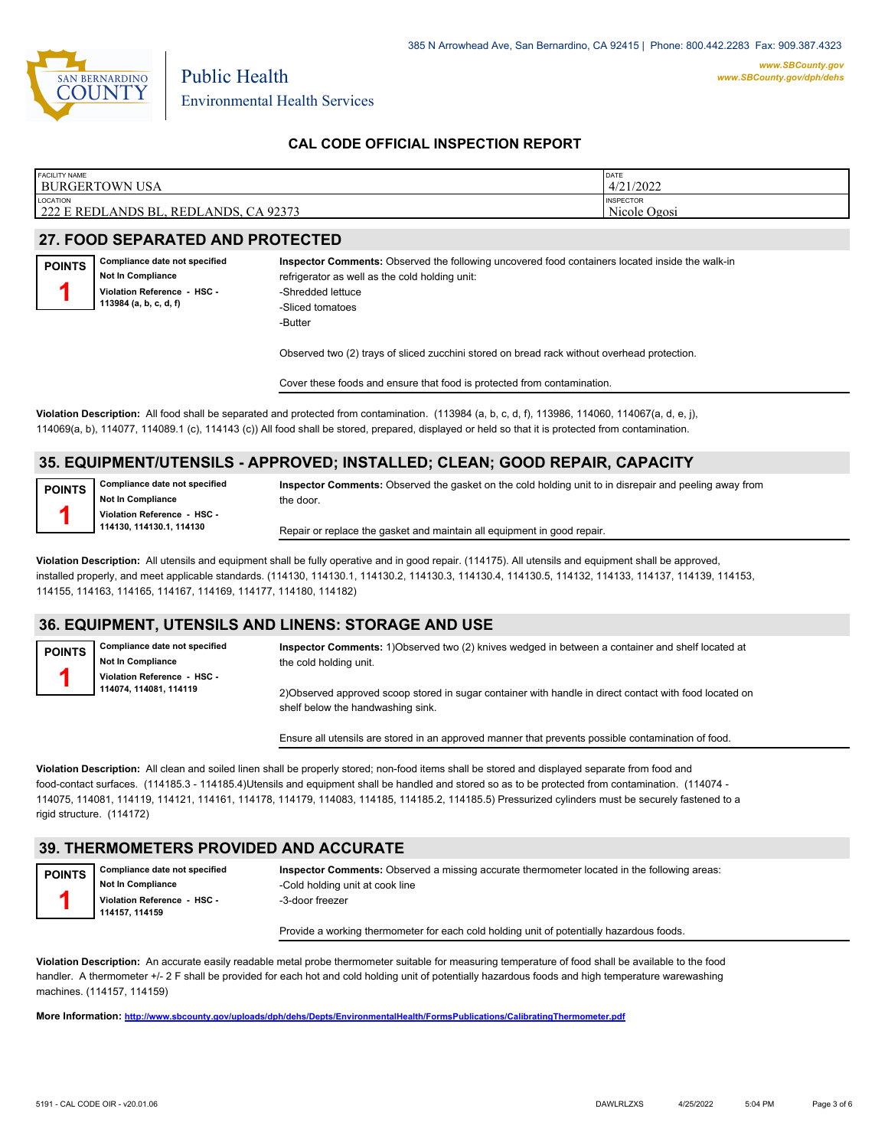

Environmental Health Services

Public Health

# **CAL CODE OFFICIAL INSPECTION REPORT**

| <b>FACILITY NAME</b>                                          | <b>DATE</b>                      |
|---------------------------------------------------------------|----------------------------------|
| BURGERTOWN USA                                                | 4/21/2022                        |
| <b>LOCATION</b><br>222 E REDLANDS BL<br>CA 92373<br>REDLANDS. | <b>INSPECTOR</b><br>Nicole Ogosi |

#### **27. FOOD SEPARATED AND PROTECTED**

**Compliance date not specified Not In Compliance Violation Reference - HSC - 113984 (a, b, c, d, f) POINTS 1**

**Inspector Comments:** Observed the following uncovered food containers located inside the walk-in refrigerator as well as the cold holding unit: -Shredded lettuce -Sliced tomatoes -Butter

Observed two (2) trays of sliced zucchini stored on bread rack without overhead protection.

Cover these foods and ensure that food is protected from contamination.

**Violation Description:** All food shall be separated and protected from contamination. (113984 (a, b, c, d, f), 113986, 114060, 114067(a, d, e, j), 114069(a, b), 114077, 114089.1 (c), 114143 (c)) All food shall be stored, prepared, displayed or held so that it is protected from contamination.

# **35. EQUIPMENT/UTENSILS - APPROVED; INSTALLED; CLEAN; GOOD REPAIR, CAPACITY**

**POINTS 1**

**Compliance date not specified Not In Compliance Violation Reference - HSC - 114130, 114130.1, 114130**

**Inspector Comments:** Observed the gasket on the cold holding unit to in disrepair and peeling away from the door.

Repair or replace the gasket and maintain all equipment in good repair.

**Violation Description:** All utensils and equipment shall be fully operative and in good repair. (114175). All utensils and equipment shall be approved, installed properly, and meet applicable standards. (114130, 114130.1, 114130.2, 114130.3, 114130.4, 114130.5, 114132, 114133, 114137, 114139, 114153, 114155, 114163, 114165, 114167, 114169, 114177, 114180, 114182)

#### **36. EQUIPMENT, UTENSILS AND LINENS: STORAGE AND USE**

**POINTS 1**

**Compliance date not specified Not In Compliance Violation Reference - HSC - 114074, 114081, 114119**

**Inspector Comments:** 1)Observed two (2) knives wedged in between a container and shelf located at the cold holding unit.

2)Observed approved scoop stored in sugar container with handle in direct contact with food located on shelf below the handwashing sink.

Ensure all utensils are stored in an approved manner that prevents possible contamination of food.

**Violation Description:** All clean and soiled linen shall be properly stored; non-food items shall be stored and displayed separate from food and food-contact surfaces. (114185.3 - 114185.4)Utensils and equipment shall be handled and stored so as to be protected from contamination. (114074 - 114075, 114081, 114119, 114121, 114161, 114178, 114179, 114083, 114185, 114185.2, 114185.5) Pressurized cylinders must be securely fastened to a rigid structure. (114172)

#### **39. THERMOMETERS PROVIDED AND ACCURATE**

**Compliance date not specified Not In Compliance Violation Reference - HSC - 114157, 114159 POINTS 1**

**Inspector Comments:** Observed a missing accurate thermometer located in the following areas: -Cold holding unit at cook line -3-door freezer

Provide a working thermometer for each cold holding unit of potentially hazardous foods.

**Violation Description:** An accurate easily readable metal probe thermometer suitable for measuring temperature of food shall be available to the food handler. A thermometer +/- 2 F shall be provided for each hot and cold holding unit of potentially hazardous foods and high temperature warewashing machines. (114157, 114159)

**More Information: <http://www.sbcounty.gov/uploads/dph/dehs/Depts/EnvironmentalHealth/FormsPublications/CalibratingThermometer.pdf>**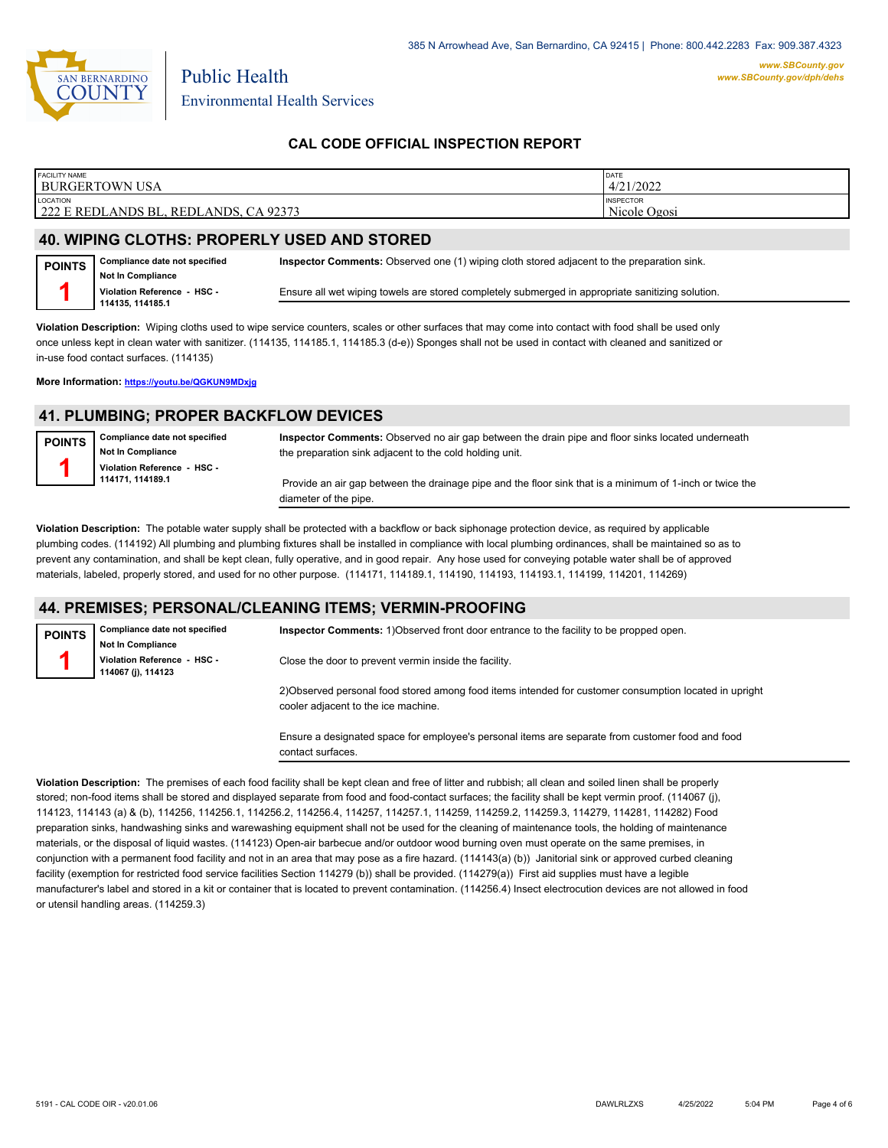

Environmental Health Services

# **CAL CODE OFFICIAL INSPECTION REPORT**

| <b>FACILITY NAME</b>                                             | DATE                             |
|------------------------------------------------------------------|----------------------------------|
| <b>BURGERTOWN USA</b>                                            | 4/21/2022                        |
| <b>LOCATION</b><br>222 E REDLANDS BL.<br>, CA 92373<br>REDLANDS. | <b>INSPECTOR</b><br>Nicole Ogosi |

#### **40. WIPING CLOTHS: PROPERLY USED AND STORED**

Public Health

**Compliance date not specified Not In Compliance Violation Reference - HSC - 114135, 114185.1 POINTS 1 Inspector Comments:** Observed one (1) wiping cloth stored adjacent to the preparation sink. Ensure all wet wiping towels are stored completely submerged in appropriate sanitizing solution.

**Violation Description:** Wiping cloths used to wipe service counters, scales or other surfaces that may come into contact with food shall be used only once unless kept in clean water with sanitizer. (114135, 114185.1, 114185.3 (d-e)) Sponges shall not be used in contact with cleaned and sanitized or in-use food contact surfaces. (114135)

**More Information: <https://youtu.be/QGKUN9MDxjg>**

#### **41. PLUMBING; PROPER BACKFLOW DEVICES**

| POINTS | Compliance date not specified<br>Not In Compliance | Inspector Comments: Observed no air gap between the drain pipe and floor sinks located underneath<br>the preparation sink adjacent to the cold holding unit. |
|--------|----------------------------------------------------|--------------------------------------------------------------------------------------------------------------------------------------------------------------|
|        | Violation Reference - HSC -<br>114171, 114189.1    | Provide an air gap between the drainage pipe and the floor sink that is a minimum of 1-inch or twice the<br>diameter of the pipe.                            |

**Violation Description:** The potable water supply shall be protected with a backflow or back siphonage protection device, as required by applicable plumbing codes. (114192) All plumbing and plumbing fixtures shall be installed in compliance with local plumbing ordinances, shall be maintained so as to prevent any contamination, and shall be kept clean, fully operative, and in good repair. Any hose used for conveying potable water shall be of approved materials, labeled, properly stored, and used for no other purpose. (114171, 114189.1, 114190, 114193, 114193.1, 114199, 114201, 114269)

#### **44. PREMISES; PERSONAL/CLEANING ITEMS; VERMIN-PROOFING**

| <b>POINTS</b> | Compliance date not specified<br><b>Not In Compliance</b> | Inspector Comments: 1) Observed front door entrance to the facility to be propped open.                                                       |
|---------------|-----------------------------------------------------------|-----------------------------------------------------------------------------------------------------------------------------------------------|
|               | Violation Reference - HSC -<br>114067 (i), 114123         | Close the door to prevent vermin inside the facility.                                                                                         |
|               |                                                           | 2) Observed personal food stored among food items intended for customer consumption located in upright<br>cooler adjacent to the ice machine. |
|               |                                                           | Engura a decignated enges for employee's nersonal items are senarate from quotemer food and food                                              |

nsure a designated space for employee's personal items are separate from customer food and food contact surfaces.

**Violation Description:** The premises of each food facility shall be kept clean and free of litter and rubbish; all clean and soiled linen shall be properly stored; non-food items shall be stored and displayed separate from food and food-contact surfaces; the facility shall be kept vermin proof. (114067 (j), 114123, 114143 (a) & (b), 114256, 114256.1, 114256.2, 114256.4, 114257, 114257.1, 114259, 114259.2, 114259.3, 114279, 114281, 114282) Food preparation sinks, handwashing sinks and warewashing equipment shall not be used for the cleaning of maintenance tools, the holding of maintenance materials, or the disposal of liquid wastes. (114123) Open-air barbecue and/or outdoor wood burning oven must operate on the same premises, in conjunction with a permanent food facility and not in an area that may pose as a fire hazard. (114143(a) (b)) Janitorial sink or approved curbed cleaning facility (exemption for restricted food service facilities Section 114279 (b)) shall be provided. (114279(a)) First aid supplies must have a legible manufacturer's label and stored in a kit or container that is located to prevent contamination. (114256.4) Insect electrocution devices are not allowed in food or utensil handling areas. (114259.3)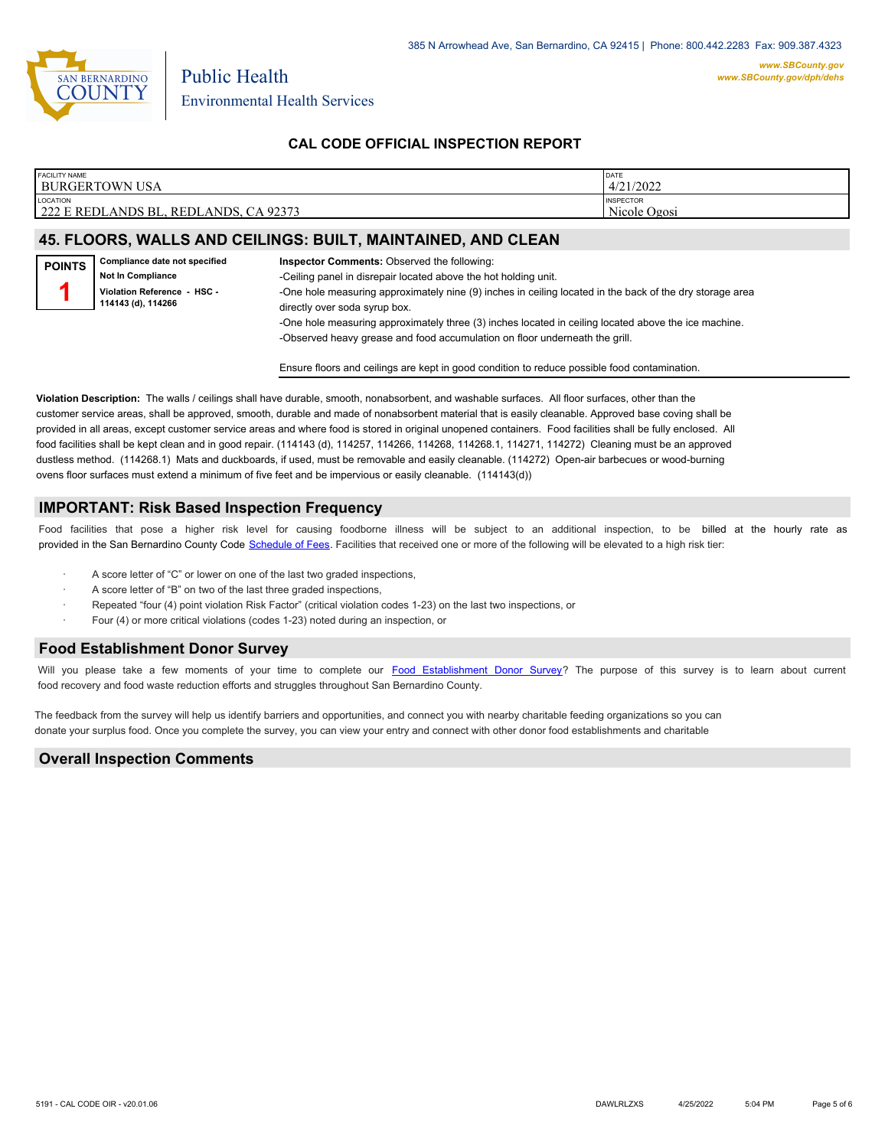

# **CAL CODE OFFICIAL INSPECTION REPORT**

| <b>FACILITY NAME</b>                                           | DATE                             |
|----------------------------------------------------------------|----------------------------------|
| BURGERTOWN USA                                                 | 4/21/2022                        |
| <b>LOCATION</b><br>222 E REDLANDS BL.<br>CA 92373<br>REDLANDS. | <b>INSPECTOR</b><br>Nicole Ogosi |

#### **45. FLOORS, WALLS AND CEILINGS: BUILT, MAINTAINED, AND CLEAN**

Ensure floors and ceilings are kept in good condition to reduce possible food contamination.

**Violation Description:** The walls / ceilings shall have durable, smooth, nonabsorbent, and washable surfaces. All floor surfaces, other than the customer service areas, shall be approved, smooth, durable and made of nonabsorbent material that is easily cleanable. Approved base coving shall be provided in all areas, except customer service areas and where food is stored in original unopened containers. Food facilities shall be fully enclosed. All food facilities shall be kept clean and in good repair. (114143 (d), 114257, 114266, 114268, 114268, 114271, 114272) Cleaning must be an approved dustless method. (114268.1) Mats and duckboards, if used, must be removable and easily cleanable. (114272) Open-air barbecues or wood-burning ovens floor surfaces must extend a minimum of five feet and be impervious or easily cleanable. (114143(d))

#### **IMPORTANT: Risk Based Inspection Frequency**

Food facilities that pose a higher risk level for causing foodborne illness will be subject to an additional inspection, to be billed at the hourly rate as provided in the San Bernardi[no County Code Schedule of Fees](https://codelibrary.amlegal.com/codes/sanbernardino/latest/sanberncty_ca/0-0-0-122474#JD_16.0213B). Facilities that received one or more of the following will be elevated to a high risk tier:

- A score letter of "C" or lower on one of the last two graded inspections,
- A score letter of "B" on two of the last three graded inspections,
- Repeated "four (4) point violation Risk Factor" (critical violation codes 1-23) on the last two inspections, or
- Four (4) or more critical violations (codes 1-23) noted during an inspection, or

#### **Food Establishment Donor Survey**

Will you please take a few moments of your time to co[mplete our Food Establishment Donor Survey?](https://survey123.arcgis.com/share/626bb0fb21674c82832b0c0d557c5e80?field:faid=FA0009279&field:facility_name=BURGERTOWN%20USA¢er=34.06,-117.18&field:phone=9093359902) The purpose of this survey is to learn about current food recovery and food waste reduction efforts and struggles throughout San Bernardino County.

The feedback from the survey will help us identify barriers and opportunities, and connect you with nearby charitable feeding organizations so you can donate your surplus fo[od. Once you complete the su](https://arcg.is/WvjGb)rvey, you can view your entry and connect with other donor food establishments and charitable

#### **Overall Inspection Comments**